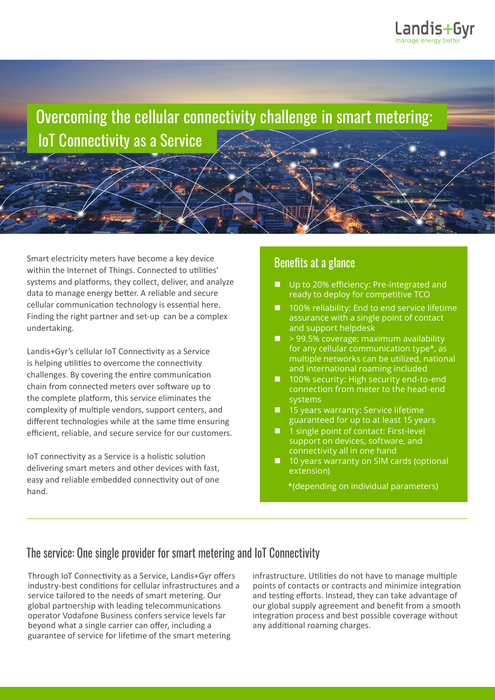

 Overcoming the cellular connectivity challenge in smart metering: IoT Connectivity as a Service

Smart electricity meters have become a key device within the Internet of Things. Connected to utilities' systems and platforms, they collect, deliver, and analyze data to manage energy better. A reliable and secure cellular communication technology is essential here. Finding the right partner and set-up can be a complex undertaking.

Landis+Gyr's cellular IoT Connectivity as a Service is helping utilities to overcome the connectivity challenges. By covering the entire communication chain from connected meters over software up to the complete platform, this service eliminates the complexity of multiple vendors, support centers, and different technologies while at the same time ensuring efficient, reliable, and secure service for our customers.

IoT connectivity as a Service is a holistic solution delivering smart meters and other devices with fast, easy and reliable embedded connectivity out of one hand.

### Benefits at a glance

- Up to 20% efficiency: Pre-integrated and ready to deploy for competitive TCO
- 100% reliability: End to end service lifetime assurance with a single point of contact and support helpdesk
- $\blacksquare$  > 99.5% coverage: maximum availability for any cellular communication type\*, as multiple networks can be utilized, national and international roaming included
- 100% security: High security end-to-end connection from meter to the head-end systems
- $15$  years warranty: Service lifetime guaranteed for up to at least 15 years
- 1 single point of contact: First-level support on devices, software, and connectivity all in one hand
- $\Box$  10 years warranty on SIM cards (optional extension)

\*(depending on individual parameters)

## The service: One single provider for smart metering and IoT Connectivity

Through IoT Connectivity as a Service, Landis+Gyr offers industry-best conditions for cellular infrastructures and a service tailored to the needs of smart metering. Our global partnership with leading telecommunications operator Vodafone Business confers service levels far beyond what a single carrier can offer, including a guarantee of service for lifetime of the smart metering

infrastructure. Utilities do not have to manage multiple points of contacts or contracts and minimize integration and testing efforts. Instead, they can take advantage of our global supply agreement and benefit from a smooth integration process and best possible coverage without any additional roaming charges.